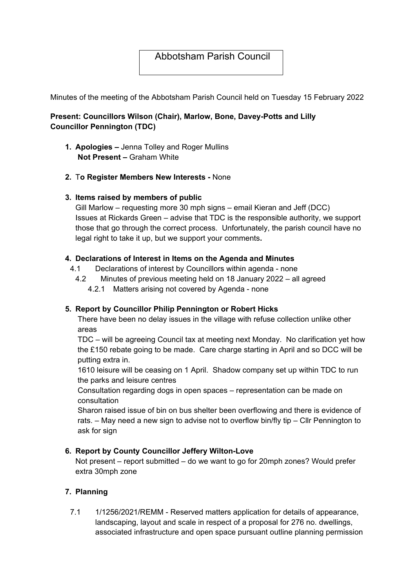# Abbotsham Parish Council

Minutes of the meeting of the Abbotsham Parish Council held on Tuesday 15 February 2022

## **Present: Councillors Wilson (Chair), Marlow, Bone, Davey-Potts and Lilly Councillor Pennington (TDC)**

- **1. Apologies** Jenna Tolley and Roger Mullins **Not Present –** Graham White
- **2.** T**o Register Members New Interests** None

### **3. Items raised by members of public**

Gill Marlow – requesting more 30 mph signs – email Kieran and Jeff (DCC) Issues at Rickards Green – advise that TDC is the responsible authority, we support those that go through the correct process. Unfortunately, the parish council have no legal right to take it up, but we support your comments**.** 

### **4. Declarations of Interest in Items on the Agenda and Minutes**

- 4.1 Declarations of interest by Councillors within agenda none
- 4.2 Minutes of previous meeting held on 18 January 2022 all agreed
	- 4.2.1 Matters arising not covered by Agenda none

### **5. Report by Councillor Philip Pennington or Robert Hicks**

There have been no delay issues in the village with refuse collection unlike other areas

TDC – will be agreeing Council tax at meeting next Monday. No clarification yet how the £150 rebate going to be made. Care charge starting in April and so DCC will be putting extra in.

1610 leisure will be ceasing on 1 April. Shadow company set up within TDC to run the parks and leisure centres

Consultation regarding dogs in open spaces – representation can be made on consultation

Sharon raised issue of bin on bus shelter been overflowing and there is evidence of rats. – May need a new sign to advise not to overflow bin/fly tip – Cllr Pennington to ask for sign

### **6. Report by County Councillor Jeffery Wilton-Love**

Not present – report submitted – do we want to go for 20mph zones? Would prefer extra 30mph zone

## **7. Planning**

7.1 1/1256/2021/REMM - Reserved matters application for details of appearance, landscaping, layout and scale in respect of a proposal for 276 no. dwellings, associated infrastructure and open space pursuant outline planning permission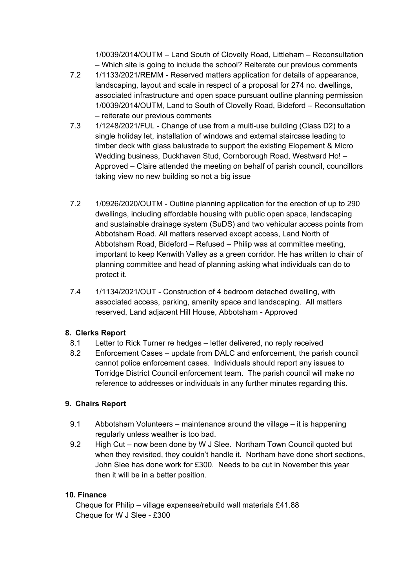1/0039/2014/OUTM – Land South of Clovelly Road, Littleham – Reconsultation – Which site is going to include the school? Reiterate our previous comments

- 7.2 1/1133/2021/REMM Reserved matters application for details of appearance, landscaping, layout and scale in respect of a proposal for 274 no. dwellings, associated infrastructure and open space pursuant outline planning permission 1/0039/2014/OUTM, Land to South of Clovelly Road, Bideford – Reconsultation – reiterate our previous comments
- 7.3 1/1248/2021/FUL Change of use from a multi-use building (Class D2) to a single holiday let, installation of windows and external staircase leading to timber deck with glass balustrade to support the existing Elopement & Micro Wedding business, Duckhaven Stud, Cornborough Road, Westward Ho! – Approved – Claire attended the meeting on behalf of parish council, councillors taking view no new building so not a big issue
- 7.2 1/0926/2020/OUTM Outline planning application for the erection of up to 290 dwellings, including affordable housing with public open space, landscaping and sustainable drainage system (SuDS) and two vehicular access points from Abbotsham Road. All matters reserved except access, Land North of Abbotsham Road, Bideford – Refused – Philip was at committee meeting, important to keep Kenwith Valley as a green corridor. He has written to chair of planning committee and head of planning asking what individuals can do to protect it.
- 7.4 1/1134/2021/OUT Construction of 4 bedroom detached dwelling, with associated access, parking, amenity space and landscaping. All matters reserved, Land adjacent Hill House, Abbotsham - Approved

## **8. Clerks Report**

- 8.1 Letter to Rick Turner re hedges letter delivered, no reply received
- 8.2 Enforcement Cases update from DALC and enforcement, the parish council cannot police enforcement cases. Individuals should report any issues to Torridge District Council enforcement team. The parish council will make no reference to addresses or individuals in any further minutes regarding this.

## **9. Chairs Report**

- 9.1 Abbotsham Volunteers maintenance around the village it is happening regularly unless weather is too bad.
- 9.2 High Cut now been done by W J Slee. Northam Town Council quoted but when they revisited, they couldn't handle it. Northam have done short sections, John Slee has done work for £300. Needs to be cut in November this year then it will be in a better position.

### **10. Finance**

Cheque for Philip – village expenses/rebuild wall materials £41.88 Cheque for W J Slee - £300